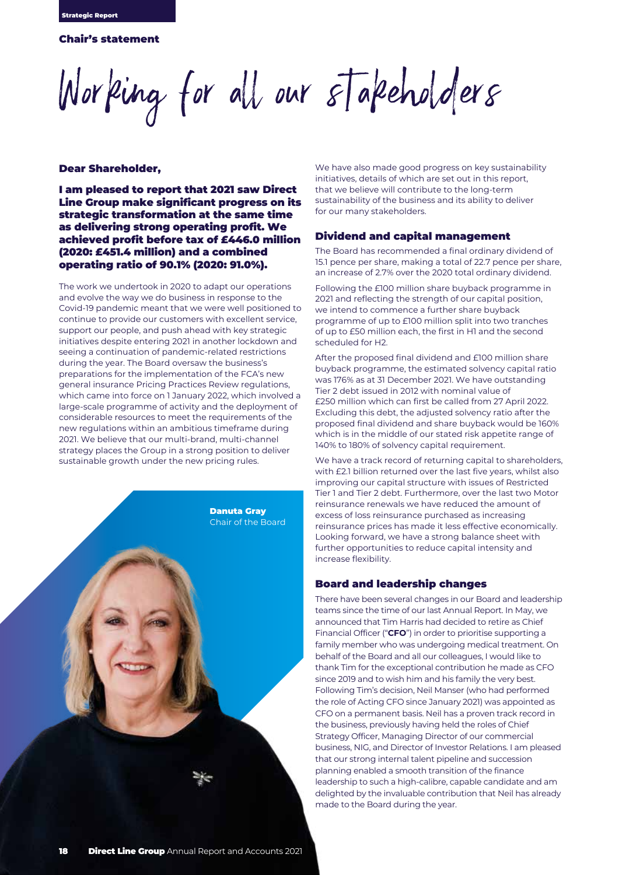# Chair's statement

Working for all our stakeholders

## Dear Shareholder,

I am pleased to report that 2021 saw Direct Line Group make significant progress on its strategic transformation at the same time as delivering strong operating profit. We achieved profit before tax of £446.0 million (2020: £451.4 million) and a combined operating ratio of 90.1% (2020: 91.0%).

The work we undertook in 2020 to adapt our operations and evolve the way we do business in response to the Covid-19 pandemic meant that we were well positioned to continue to provide our customers with excellent service, support our people, and push ahead with key strategic initiatives despite entering 2021 in another lockdown and seeing a continuation of pandemic-related restrictions during the year. The Board oversaw the business's preparations for the implementation of the FCA's new general insurance Pricing Practices Review regulations, which came into force on 1 January 2022, which involved a large-scale programme of activity and the deployment of considerable resources to meet the requirements of the new regulations within an ambitious timeframe during 2021. We believe that our multi-brand, multi-channel strategy places the Group in a strong position to deliver sustainable growth under the new pricing rules.



We have also made good progress on key sustainability initiatives, details of which are set out in this report, that we believe will contribute to the long-term sustainability of the business and its ability to deliver for our many stakeholders.

## Dividend and capital management

The Board has recommended a final ordinary dividend of 15.1 pence per share, making a total of 22.7 pence per share, an increase of 2.7% over the 2020 total ordinary dividend.

Following the £100 million share buyback programme in 2021 and reflecting the strength of our capital position, we intend to commence a further share buyback programme of up to £100 million split into two tranches of up to £50 million each, the first in H1 and the second scheduled for H2.

After the proposed final dividend and £100 million share buyback programme, the estimated solvency capital ratio was 176% as at 31 December 2021. We have outstanding Tier 2 debt issued in 2012 with nominal value of £250 million which can first be called from 27 April 2022. Excluding this debt, the adjusted solvency ratio after the proposed final dividend and share buyback would be 160% which is in the middle of our stated risk appetite range of 140% to 180% of solvency capital requirement.

We have a track record of returning capital to shareholders, with £2.1 billion returned over the last five years, whilst also improving our capital structure with issues of Restricted Tier 1 and Tier 2 debt. Furthermore, over the last two Motor reinsurance renewals we have reduced the amount of excess of loss reinsurance purchased as increasing reinsurance prices has made it less effective economically. Looking forward, we have a strong balance sheet with further opportunities to reduce capital intensity and increase flexibility.

# Board and leadership changes

There have been several changes in our Board and leadership teams since the time of our last Annual Report. In May, we announced that Tim Harris had decided to retire as Chief Financial Officer ("**CFO**") in order to prioritise supporting a family member who was undergoing medical treatment. On behalf of the Board and all our colleagues, I would like to thank Tim for the exceptional contribution he made as CFO since 2019 and to wish him and his family the very best. Following Tim's decision, Neil Manser (who had performed the role of Acting CFO since January 2021) was appointed as CFO on a permanent basis. Neil has a proven track record in the business, previously having held the roles of Chief Strategy Officer, Managing Director of our commercial business, NIG, and Director of Investor Relations. I am pleased that our strong internal talent pipeline and succession planning enabled a smooth transition of the finance leadership to such a high-calibre, capable candidate and am delighted by the invaluable contribution that Neil has already made to the Board during the year.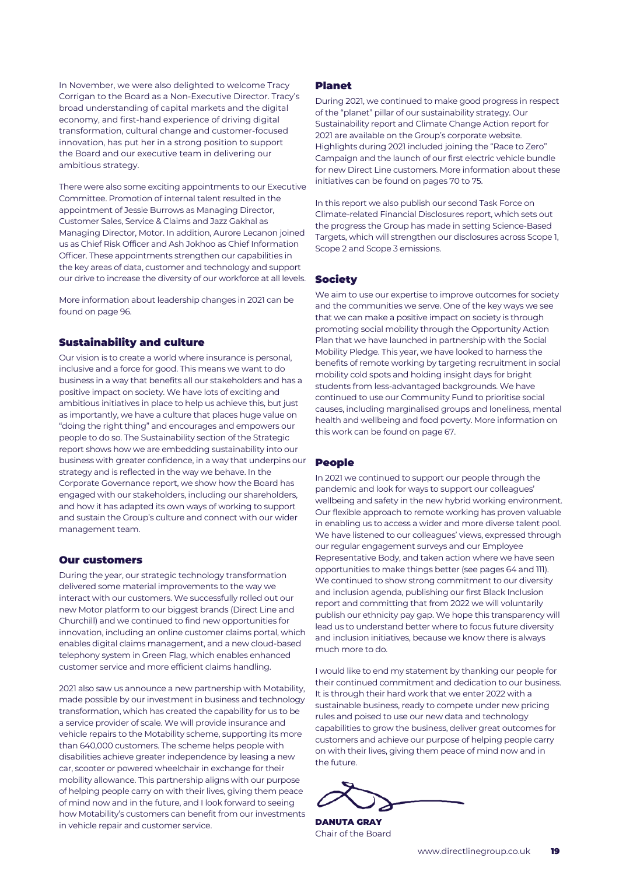In November, we were also delighted to welcome Tracy Corrigan to the Board as a Non-Executive Director. Tracy's broad understanding of capital markets and the digital economy, and first-hand experience of driving digital transformation, cultural change and customer-focused innovation, has put her in a strong position to support the Board and our executive team in delivering our ambitious strategy.

There were also some exciting appointments to our Executive Committee. Promotion of internal talent resulted in the appointment of Jessie Burrows as Managing Director, Customer Sales, Service & Claims and Jazz Gakhal as Managing Director, Motor. In addition, Aurore Lecanon joined us as Chief Risk Officer and Ash Jokhoo as Chief Information Officer. These appointments strengthen our capabilities in the key areas of data, customer and technology and support our drive to increase the diversity of our workforce at all levels.

More information about leadership changes in 2021 can be found on page 96.

# Sustainability and culture

Our vision is to create a world where insurance is personal, inclusive and a force for good. This means we want to do business in a way that benefits all our stakeholders and has a positive impact on society. We have lots of exciting and ambitious initiatives in place to help us achieve this, but just as importantly, we have a culture that places huge value on "doing the right thing" and encourages and empowers our people to do so. The Sustainability section of the Strategic report shows how we are embedding sustainability into our business with greater confidence, in a way that underpins our strategy and is reflected in the way we behave. In the Corporate Governance report, we show how the Board has engaged with our stakeholders, including our shareholders, and how it has adapted its own ways of working to support and sustain the Group's culture and connect with our wider management team.

#### Our customers

During the year, our strategic technology transformation delivered some material improvements to the way we interact with our customers. We successfully rolled out our new Motor platform to our biggest brands (Direct Line and Churchill) and we continued to find new opportunities for innovation, including an online customer claims portal, which enables digital claims management, and a new cloud-based telephony system in Green Flag, which enables enhanced customer service and more efficient claims handling.

2021 also saw us announce a new partnership with Motability, made possible by our investment in business and technology transformation, which has created the capability for us to be a service provider of scale. We will provide insurance and vehicle repairs to the Motability scheme, supporting its more than 640,000 customers. The scheme helps people with disabilities achieve greater independence by leasing a new car, scooter or powered wheelchair in exchange for their mobility allowance. This partnership aligns with our purpose of helping people carry on with their lives, giving them peace of mind now and in the future, and I look forward to seeing how Motability's customers can benefit from our investments in vehicle repair and customer service.

# Planet

During 2021, we continued to make good progress in respect of the "planet" pillar of our sustainability strategy. Our Sustainability report and Climate Change Action report for 2021 are available on the Group's corporate website. Highlights during 2021 included joining the "Race to Zero" Campaign and the launch of our first electric vehicle bundle for new Direct Line customers. More information about these initiatives can be found on pages 70 to 75.

In this report we also publish our second Task Force on Climate-related Financial Disclosures report, which sets out the progress the Group has made in setting Science-Based Targets, which will strengthen our disclosures across Scope 1, Scope 2 and Scope 3 emissions.

## Society

We aim to use our expertise to improve outcomes for society and the communities we serve. One of the key ways we see that we can make a positive impact on society is through promoting social mobility through the Opportunity Action Plan that we have launched in partnership with the Social Mobility Pledge. This year, we have looked to harness the benefits of remote working by targeting recruitment in social mobility cold spots and holding insight days for bright students from less-advantaged backgrounds. We have continued to use our Community Fund to prioritise social causes, including marginalised groups and loneliness, mental health and wellbeing and food poverty. More information on this work can be found on page 67.

### People

In 2021 we continued to support our people through the pandemic and look for ways to support our colleagues' wellbeing and safety in the new hybrid working environment. Our flexible approach to remote working has proven valuable in enabling us to access a wider and more diverse talent pool. We have listened to our colleagues' views, expressed through our regular engagement surveys and our Employee Representative Body, and taken action where we have seen opportunities to make things better (see pages 64 and 111). We continued to show strong commitment to our diversity and inclusion agenda, publishing our first Black Inclusion report and committing that from 2022 we will voluntarily publish our ethnicity pay gap. We hope this transparency will lead us to understand better where to focus future diversity and inclusion initiatives, because we know there is always much more to do.

I would like to end my statement by thanking our people for their continued commitment and dedication to our business. It is through their hard work that we enter 2022 with a sustainable business, ready to compete under new pricing rules and poised to use our new data and technology capabilities to grow the business, deliver great outcomes for customers and achieve our purpose of helping people carry on with their lives, giving them peace of mind now and in the future.

DANUTA GRAY Chair of the Board